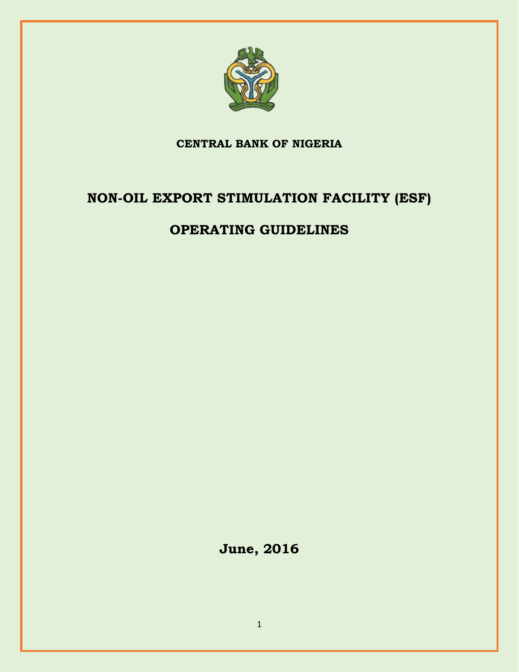

# **CENTRAL BANK OF NIGERIA**

# **NON-OIL EXPORT STIMULATION FACILITY (ESF)**

# **OPERATING GUIDELINES**

**June, 2016**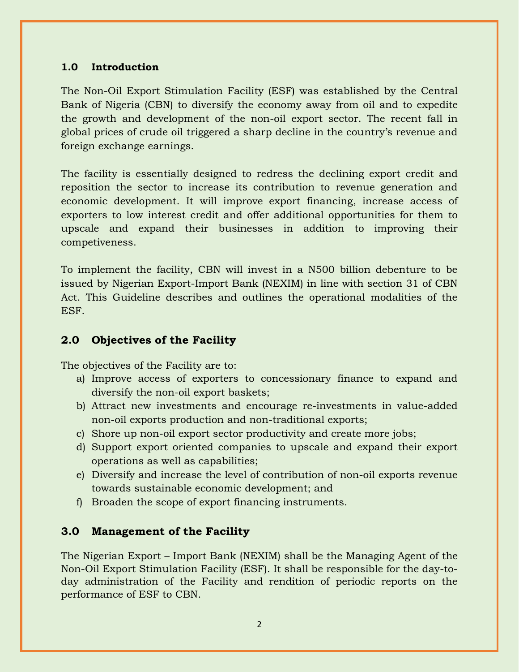#### **1.0 Introduction**

The Non-Oil Export Stimulation Facility (ESF) was established by the Central Bank of Nigeria (CBN) to diversify the economy away from oil and to expedite the growth and development of the non-oil export sector. The recent fall in global prices of crude oil triggered a sharp decline in the country's revenue and foreign exchange earnings.

The facility is essentially designed to redress the declining export credit and reposition the sector to increase its contribution to revenue generation and economic development. It will improve export financing, increase access of exporters to low interest credit and offer additional opportunities for them to upscale and expand their businesses in addition to improving their competiveness.

To implement the facility, CBN will invest in a N500 billion debenture to be issued by Nigerian Export-Import Bank (NEXIM) in line with section 31 of CBN Act. This Guideline describes and outlines the operational modalities of the ESF.

## **2.0 Objectives of the Facility**

The objectives of the Facility are to:

- a) Improve access of exporters to concessionary finance to expand and diversify the non-oil export baskets;
- b) Attract new investments and encourage re-investments in value-added non-oil exports production and non-traditional exports;
- c) Shore up non-oil export sector productivity and create more jobs;
- d) Support export oriented companies to upscale and expand their export operations as well as capabilities;
- e) Diversify and increase the level of contribution of non-oil exports revenue towards sustainable economic development; and
- f) Broaden the scope of export financing instruments.

## **3.0 Management of the Facility**

The Nigerian Export – Import Bank (NEXIM) shall be the Managing Agent of the Non-Oil Export Stimulation Facility (ESF). It shall be responsible for the day-today administration of the Facility and rendition of periodic reports on the performance of ESF to CBN.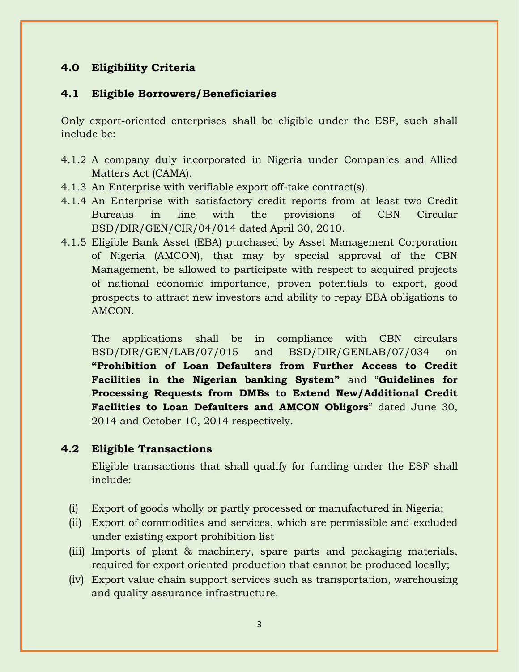## **4.0 Eligibility Criteria**

#### **4.1 Eligible Borrowers/Beneficiaries**

Only export-oriented enterprises shall be eligible under the ESF, such shall include be:

- 4.1.2 A company duly incorporated in Nigeria under Companies and Allied Matters Act (CAMA).
- 4.1.3 An Enterprise with verifiable export off-take contract(s).
- 4.1.4 An Enterprise with satisfactory credit reports from at least two Credit Bureaus in line with the provisions of CBN Circular BSD/DIR/GEN/CIR/04/014 dated April 30, 2010.
- 4.1.5 Eligible Bank Asset (EBA) purchased by Asset Management Corporation of Nigeria (AMCON), that may by special approval of the CBN Management, be allowed to participate with respect to acquired projects of national economic importance, proven potentials to export, good prospects to attract new investors and ability to repay EBA obligations to AMCON.

The applications shall be in compliance with CBN circulars BSD/DIR/GEN/LAB/07/015 and BSD/DIR/GENLAB/07/034 on **"Prohibition of Loan Defaulters from Further Access to Credit Facilities in the Nigerian banking System"** and "**Guidelines for Processing Requests from DMBs to Extend New/Additional Credit Facilities to Loan Defaulters and AMCON Obligors**" dated June 30, 2014 and October 10, 2014 respectively.

#### **4.2 Eligible Transactions**

Eligible transactions that shall qualify for funding under the ESF shall include:

- (i) Export of goods wholly or partly processed or manufactured in Nigeria;
- (ii) Export of commodities and services, which are permissible and excluded under existing export prohibition list
- (iii) Imports of plant & machinery, spare parts and packaging materials, required for export oriented production that cannot be produced locally;
- (iv) Export value chain support services such as transportation, warehousing and quality assurance infrastructure.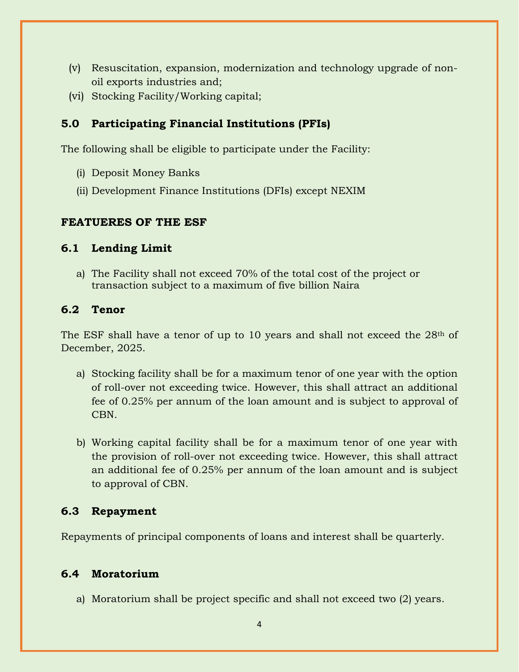- (v) Resuscitation, expansion, modernization and technology upgrade of nonoil exports industries and;
- (vi) Stocking Facility/Working capital;

## **5.0 Participating Financial Institutions (PFIs)**

The following shall be eligible to participate under the Facility:

- (i) Deposit Money Banks
- (ii) Development Finance Institutions (DFIs) except NEXIM

### **FEATUERES OF THE ESF**

### **6.1 Lending Limit**

a) The Facility shall not exceed 70% of the total cost of the project or transaction subject to a maximum of five billion Naira

### **6.2 Tenor**

The ESF shall have a tenor of up to 10 years and shall not exceed the 28th of December, 2025.

- a) Stocking facility shall be for a maximum tenor of one year with the option of roll-over not exceeding twice. However, this shall attract an additional fee of 0.25% per annum of the loan amount and is subject to approval of CBN.
- b) Working capital facility shall be for a maximum tenor of one year with the provision of roll-over not exceeding twice. However, this shall attract an additional fee of 0.25% per annum of the loan amount and is subject to approval of CBN.

## **6.3 Repayment**

Repayments of principal components of loans and interest shall be quarterly.

## **6.4 Moratorium**

a) Moratorium shall be project specific and shall not exceed two (2) years.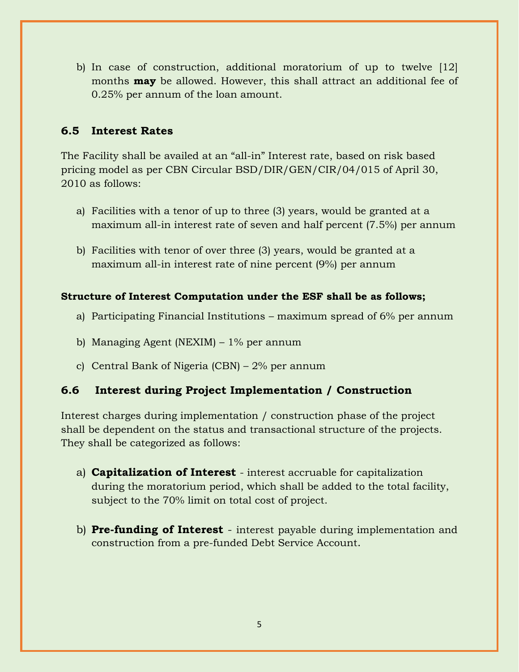b) In case of construction, additional moratorium of up to twelve [12] months **may** be allowed. However, this shall attract an additional fee of 0.25% per annum of the loan amount.

## **6.5 Interest Rates**

The Facility shall be availed at an "all-in" Interest rate, based on risk based pricing model as per CBN Circular BSD/DIR/GEN/CIR/04/015 of April 30, 2010 as follows:

- a) Facilities with a tenor of up to three (3) years, would be granted at a maximum all-in interest rate of seven and half percent (7.5%) per annum
- b) Facilities with tenor of over three (3) years, would be granted at a maximum all-in interest rate of nine percent (9%) per annum

### **Structure of Interest Computation under the ESF shall be as follows;**

- a) Participating Financial Institutions maximum spread of 6% per annum
- b) Managing Agent (NEXIM) 1% per annum
- c) Central Bank of Nigeria (CBN) 2% per annum

## **6.6 Interest during Project Implementation / Construction**

Interest charges during implementation / construction phase of the project shall be dependent on the status and transactional structure of the projects. They shall be categorized as follows:

- a) **Capitalization of Interest** interest accruable for capitalization during the moratorium period, which shall be added to the total facility, subject to the 70% limit on total cost of project.
- b) **Pre-funding of Interest** interest payable during implementation and construction from a pre-funded Debt Service Account.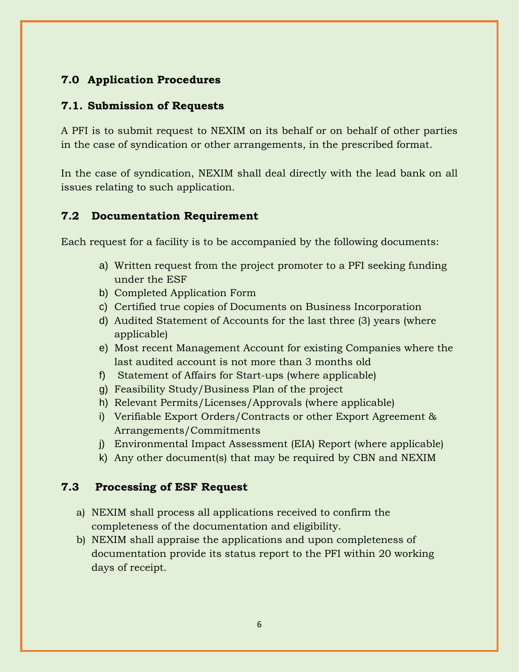# **7.0 Application Procedures**

### **7.1. Submission of Requests**

A PFI is to submit request to NEXIM on its behalf or on behalf of other parties in the case of syndication or other arrangements, in the prescribed format.

In the case of syndication, NEXIM shall deal directly with the lead bank on all issues relating to such application.

### **7.2 Documentation Requirement**

Each request for a facility is to be accompanied by the following documents:

- a) Written request from the project promoter to a PFI seeking funding under the ESF
- b) Completed Application Form
- c) Certified true copies of Documents on Business Incorporation
- d) Audited Statement of Accounts for the last three (3) years (where applicable)
- e) Most recent Management Account for existing Companies where the last audited account is not more than 3 months old
- f) Statement of Affairs for Start-ups (where applicable)
- g) Feasibility Study/Business Plan of the project
- h) Relevant Permits/Licenses/Approvals (where applicable)
- i) Verifiable Export Orders/Contracts or other Export Agreement & Arrangements/Commitments
- j) Environmental Impact Assessment (EIA) Report (where applicable)
- k) Any other document(s) that may be required by CBN and NEXIM

### **7.3 Processing of ESF Request**

- a) NEXIM shall process all applications received to confirm the completeness of the documentation and eligibility.
- b) NEXIM shall appraise the applications and upon completeness of documentation provide its status report to the PFI within 20 working days of receipt.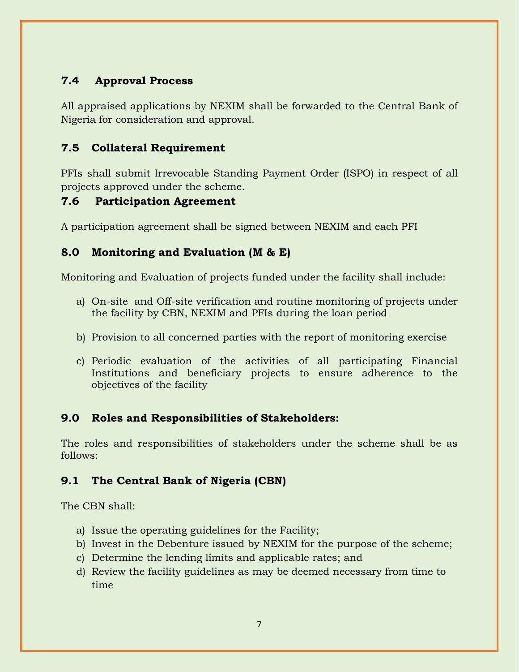# **7.4 Approval Process**

All appraised applications by NEXIM shall be forwarded to the Central Bank of Nigeria for consideration and approval.

## **7.5 Collateral Requirement**

PFIs shall submit Irrevocable Standing Payment Order (ISPO) in respect of all projects approved under the scheme.

## **7.6 Participation Agreement**

A participation agreement shall be signed between NEXIM and each PFI

## **8.0 Monitoring and Evaluation (M & E)**

Monitoring and Evaluation of projects funded under the facility shall include:

- a) On-site and Off-site verification and routine monitoring of projects under the facility by CBN, NEXIM and PFIs during the loan period
- b) Provision to all concerned parties with the report of monitoring exercise
- c) Periodic evaluation of the activities of all participating Financial Institutions and beneficiary projects to ensure adherence to the objectives of the facility

# **9.0 Roles and Responsibilities of Stakeholders:**

The roles and responsibilities of stakeholders under the scheme shall be as follows:

# **9.1 The Central Bank of Nigeria (CBN)**

The CBN shall:

- a) Issue the operating guidelines for the Facility;
- b) Invest in the Debenture issued by NEXIM for the purpose of the scheme;
- c) Determine the lending limits and applicable rates; and
- d) Review the facility guidelines as may be deemed necessary from time to time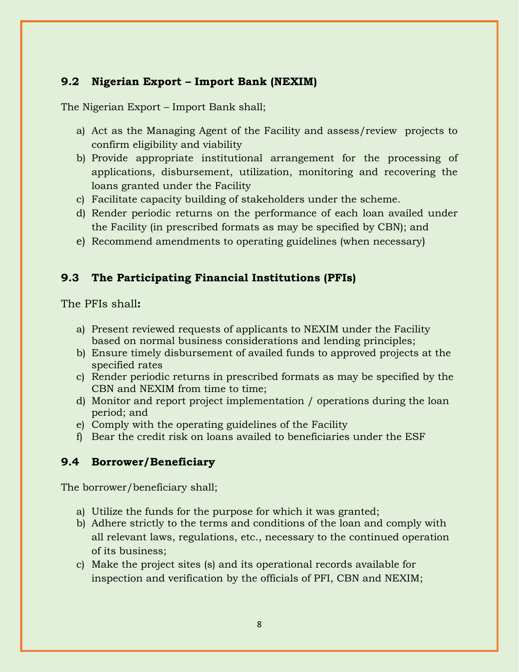## **9.2 Nigerian Export – Import Bank (NEXIM)**

The Nigerian Export – Import Bank shall;

- a) Act as the Managing Agent of the Facility and assess/review projects to confirm eligibility and viability
- b) Provide appropriate institutional arrangement for the processing of applications, disbursement, utilization, monitoring and recovering the loans granted under the Facility
- c) Facilitate capacity building of stakeholders under the scheme.
- d) Render periodic returns on the performance of each loan availed under the Facility (in prescribed formats as may be specified by CBN); and
- e) Recommend amendments to operating guidelines (when necessary)

## **9.3 The Participating Financial Institutions (PFIs)**

The PFIs shall**:**

- a) Present reviewed requests of applicants to NEXIM under the Facility based on normal business considerations and lending principles;
- b) Ensure timely disbursement of availed funds to approved projects at the specified rates
- c) Render periodic returns in prescribed formats as may be specified by the CBN and NEXIM from time to time;
- d) Monitor and report project implementation / operations during the loan period; and
- e) Comply with the operating guidelines of the Facility
- f) Bear the credit risk on loans availed to beneficiaries under the ESF

## **9.4 Borrower/Beneficiary**

The borrower/beneficiary shall;

- a) Utilize the funds for the purpose for which it was granted;
- b) Adhere strictly to the terms and conditions of the loan and comply with all relevant laws, regulations, etc., necessary to the continued operation of its business;
- c) Make the project sites (s) and its operational records available for inspection and verification by the officials of PFI, CBN and NEXIM;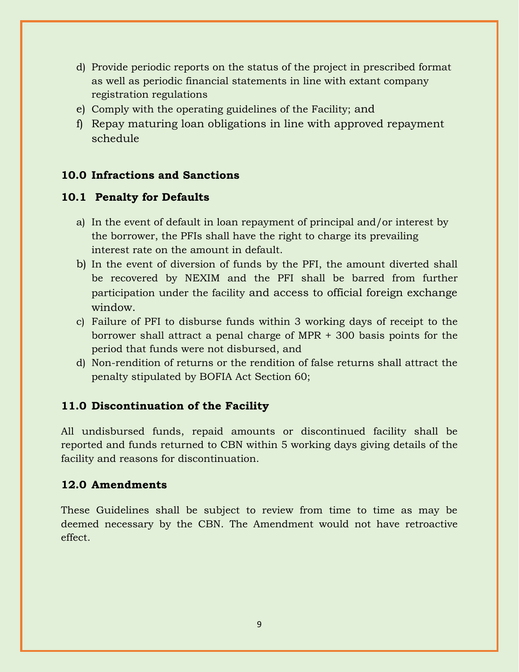- d) Provide periodic reports on the status of the project in prescribed format as well as periodic financial statements in line with extant company registration regulations
- e) Comply with the operating guidelines of the Facility; and
- f) Repay maturing loan obligations in line with approved repayment schedule

## **10.0 Infractions and Sanctions**

#### **10.1 Penalty for Defaults**

- a) In the event of default in loan repayment of principal and/or interest by the borrower, the PFIs shall have the right to charge its prevailing interest rate on the amount in default.
- b) In the event of diversion of funds by the PFI, the amount diverted shall be recovered by NEXIM and the PFI shall be barred from further participation under the facility and access to official foreign exchange window.
- c) Failure of PFI to disburse funds within 3 working days of receipt to the borrower shall attract a penal charge of MPR + 300 basis points for the period that funds were not disbursed, and
- d) Non-rendition of returns or the rendition of false returns shall attract the penalty stipulated by BOFIA Act Section 60;

### **11.0 Discontinuation of the Facility**

All undisbursed funds, repaid amounts or discontinued facility shall be reported and funds returned to CBN within 5 working days giving details of the facility and reasons for discontinuation.

#### **12.0 Amendments**

These Guidelines shall be subject to review from time to time as may be deemed necessary by the CBN. The Amendment would not have retroactive effect.